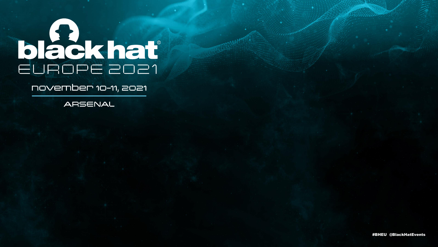# black hat

## november 10-11, 2021

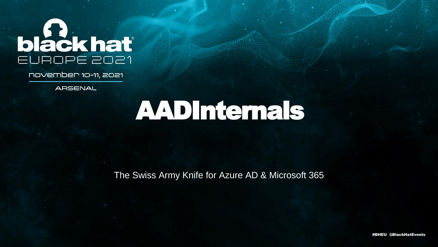# black hat

november 10-11, 2021

ARSENAL

# AADInternals

The Swiss Army Knife for Azure AD & Microsoft 365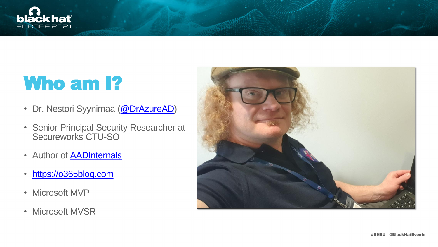

# Who am 1?

- Dr. Nestori Syynimaa [\(@DrAzureAD\)](https://twitter.com/DrAzureAD)
- Senior Principal Security Researcher at Secureworks CTU-SO
- Author of **AADInternals**
- [https://o365blog.com](https://o365blog.com/)
- Microsoft MVP
- Microsoft MVSR



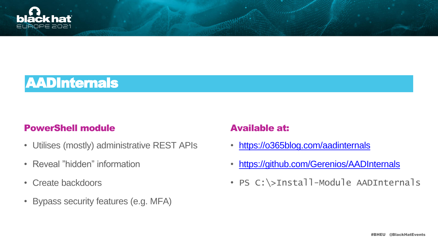#BHEU @BlackHatEvents



## AADInternals

## PowerShell module **Available at:**

- Utilises (mostly) administrative REST APIs
- Reveal "hidden" information
- Create backdoors
- Bypass security features (e.g. MFA)

- <https://o365blog.com/aadinternals>
- <https://github.com/Gerenios/AADInternals>
- PS C:\>Install-Module AADInternals

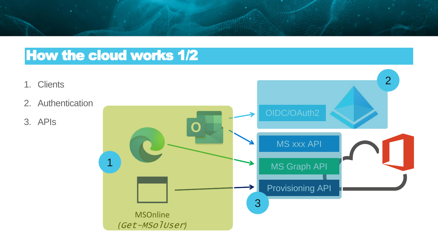



## How the cloud works 1/2

- 1. Clients
- 2. Authentication
- 3. APIs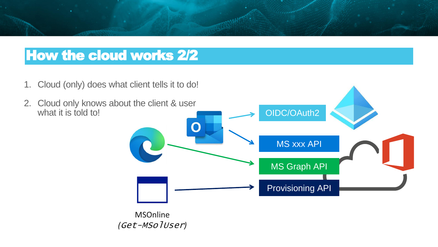## How the cloud works 2/2





1. Cloud (only) does what client tells it to do!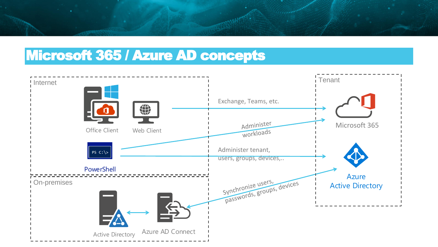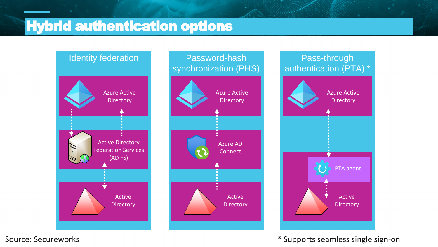Active **Directory** 

## Pass-through authentication (PTA) \*



### PTA agent



# Password-hash synchronization (PHS) \* Azure AD **Connect** Active **Directory** Azure Active **Directory**

\* Supports seamless single sign-on

## Hybrid authentication options

Source: Secureworks

### **Azure Active Directory**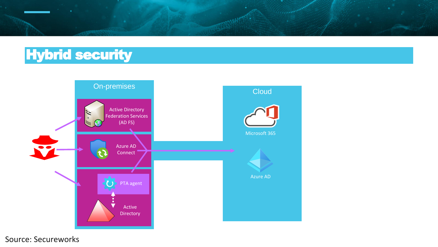

Source: Secureworks





# Hybrid security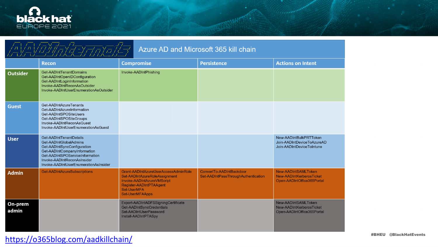

| Azure AD and Microsoft 365 kill chain |                                                                                                                                                                                                                             |                                                                                                                                                                  |                                                                 |                                                                                   |
|---------------------------------------|-----------------------------------------------------------------------------------------------------------------------------------------------------------------------------------------------------------------------------|------------------------------------------------------------------------------------------------------------------------------------------------------------------|-----------------------------------------------------------------|-----------------------------------------------------------------------------------|
|                                       | <b>Recon</b>                                                                                                                                                                                                                | <b>Compromise</b>                                                                                                                                                | <b>Persistence</b>                                              | <b>Actions on Intent</b>                                                          |
| <b>Outsider</b>                       | Get-AADIntTenantDomains<br>Get-AADIntOpenIDConfiguration<br>Get-AADIntLoginInformation<br>Invoke-AADIntReconAsOutsider<br>Invoke-AADIntUserEnumerationAsOutsider                                                            | Invoke-AADIntPhishing                                                                                                                                            |                                                                 |                                                                                   |
| <b>Guest</b>                          | Get-AADIntAzureTenants<br>Get-AADIntAzureInformation<br>Get-AADIntSPOSiteUsers<br>Get-AADIntSPOSiteGroups<br>Invoke-AADIntReconAsGuest<br>Invoke-AADIntUserEnumerationAsGuest                                               |                                                                                                                                                                  |                                                                 |                                                                                   |
| <b>User</b>                           | Get-AADIntTenantDetails<br>Get-AADIntGlobalAdmins<br>Get-AADIntSyncConfiguration<br>Get-AADIntCompanyInformation<br>Get-AADIntSPOServiceInformation<br>Invoke-AADIntReconAsInsider<br>Invoke-AADIntUserEnumerationAsInsider |                                                                                                                                                                  |                                                                 | New-AADIntBulkPRTToken<br>Join-AADIntDeviceToAzureAD<br>Join-AADIntDeviceToIntune |
| <b>Admin</b>                          | Get-AADIntAzureSubscriptions                                                                                                                                                                                                | Grant-AADIntAzureUserAccessAdminRole<br>Set-AADIntAzureRoleAssignment<br>Invoke-AADIntAzureVMScript<br>Register-AADIntPTAAgent<br>Set-UserMFA<br>Set-UserMFAApps | ConvertTo-AADIntBackdoor<br>Set-AADIntPassThroughAuthentication | New-AADIntSAMLToken<br>New-AADIntKerberosTicket<br>Open-AADIntOffice365Portal     |
| On-prem<br>admin                      |                                                                                                                                                                                                                             | Export-AADIntADFSSigningCertificate<br>Get-AADIntSyncCredentials<br>Set-AADIntUserPassword<br>Install-AADIntPTASpy                                               |                                                                 | New-AADIntSAMLToken<br>New-AADIntKerberosTicket<br>Open-AADIntOffice365Portal     |

## https://o365blog.com/aadkillchain/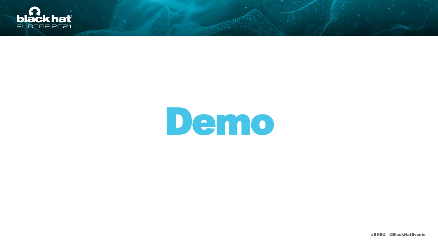